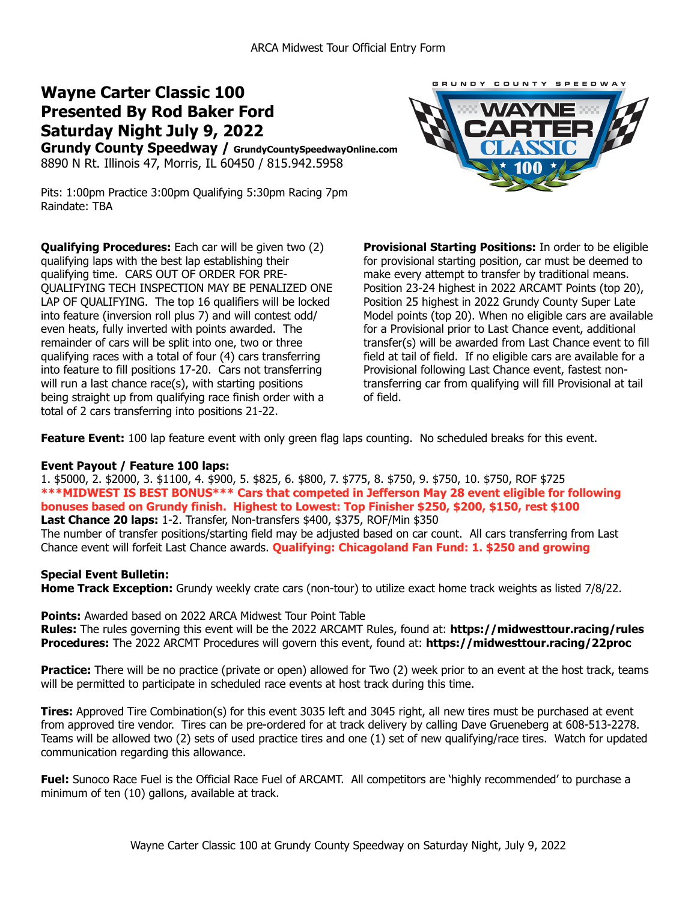# **Wayne Carter Classic 100 Presented By Rod Baker Ford Saturday Night July 9, 2022**

**Grundy County Speedway / GrundyCountySpeedwayOnline.com** 8890 N Rt. Illinois 47, Morris, IL 60450 / 815.942.5958

Pits: 1:00pm Practice 3:00pm Qualifying 5:30pm Racing 7pm Raindate: TBA

**Qualifying Procedures:** Each car will be given two (2) qualifying laps with the best lap establishing their qualifying time. CARS OUT OF ORDER FOR PRE-QUALIFYING TECH INSPECTION MAY BE PENALIZED ONE LAP OF QUALIFYING. The top 16 qualifiers will be locked into feature (inversion roll plus 7) and will contest odd/ even heats, fully inverted with points awarded. The remainder of cars will be split into one, two or three qualifying races with a total of four (4) cars transferring into feature to fill positions 17-20. Cars not transferring will run a last chance race(s), with starting positions being straight up from qualifying race finish order with a total of 2 cars transferring into positions 21-22.

**Provisional Starting Positions:** In order to be eligible for provisional starting position, car must be deemed to make every attempt to transfer by traditional means. Position 23-24 highest in 2022 ARCAMT Points (top 20), Position 25 highest in 2022 Grundy County Super Late Model points (top 20). When no eligible cars are available for a Provisional prior to Last Chance event, additional transfer(s) will be awarded from Last Chance event to fill field at tail of field. If no eligible cars are available for a Provisional following Last Chance event, fastest nontransferring car from qualifying will fill Provisional at tail of field.

**Feature Event:** 100 lap feature event with only green flag laps counting. No scheduled breaks for this event.

#### **Event Payout / Feature 100 laps:**

1. \$5000, 2. \$2000, 3. \$1100, 4. \$900, 5. \$825, 6. \$800, 7. \$775, 8. \$750, 9. \$750, 10. \$750, ROF \$725 **\*\*\*MIDWEST IS BEST BONUS\*\*\* Cars that competed in Jefferson May 28 event eligible for following bonuses based on Grundy finish. Highest to Lowest: Top Finisher \$250, \$200, \$150, rest \$100 Last Chance 20 laps:** 1-2. Transfer, Non-transfers \$400, \$375, ROF/Min \$350

The number of transfer positions/starting field may be adjusted based on car count. All cars transferring from Last Chance event will forfeit Last Chance awards. **Qualifying: Chicagoland Fan Fund: 1. \$250 and growing**

#### **Special Event Bulletin:**

**Home Track Exception:** Grundy weekly crate cars (non-tour) to utilize exact home track weights as listed 7/8/22.

**Points:** Awarded based on 2022 ARCA Midwest Tour Point Table **Rules:** The rules governing this event will be the 2022 ARCAMT Rules, found at: **https://midwesttour.racing/rules Procedures:** The 2022 ARCMT Procedures will govern this event, found at: **https://midwesttour.racing/22proc**

**Practice:** There will be no practice (private or open) allowed for Two (2) week prior to an event at the host track, teams will be permitted to participate in scheduled race events at host track during this time.

**Tires:** Approved Tire Combination(s) for this event 3035 left and 3045 right, all new tires must be purchased at event from approved tire vendor. Tires can be pre-ordered for at track delivery by calling Dave Grueneberg at 608-513-2278. Teams will be allowed two (2) sets of used practice tires and one (1) set of new qualifying/race tires. Watch for updated communication regarding this allowance.

**Fuel:** Sunoco Race Fuel is the Official Race Fuel of ARCAMT. All competitors are 'highly recommended' to purchase a minimum of ten (10) gallons, available at track.

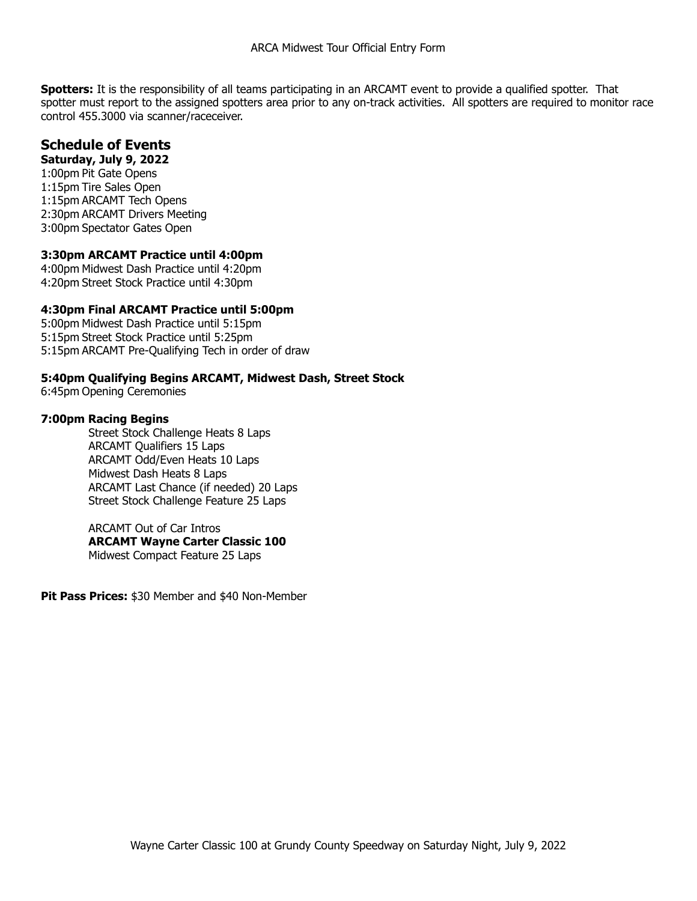**Spotters:** It is the responsibility of all teams participating in an ARCAMT event to provide a qualified spotter. That spotter must report to the assigned spotters area prior to any on-track activities. All spotters are required to monitor race control 455.3000 via scanner/raceceiver.

### **Schedule of Events**

#### **Saturday, July 9, 2022**

1:00pm Pit Gate Opens 1:15pm Tire Sales Open 1:15pm ARCAMT Tech Opens 2:30pm ARCAMT Drivers Meeting 3:00pm Spectator Gates Open

#### **3:30pm ARCAMT Practice until 4:00pm**

4:00pm Midwest Dash Practice until 4:20pm 4:20pm Street Stock Practice until 4:30pm

#### **4:30pm Final ARCAMT Practice until 5:00pm**

5:00pm Midwest Dash Practice until 5:15pm 5:15pm Street Stock Practice until 5:25pm 5:15pm ARCAMT Pre-Qualifying Tech in order of draw

#### **5:40pm Qualifying Begins ARCAMT, Midwest Dash, Street Stock**

6:45pm Opening Ceremonies

#### **7:00pm Racing Begins**

Street Stock Challenge Heats 8 Laps ARCAMT Qualifiers 15 Laps ARCAMT Odd/Even Heats 10 Laps Midwest Dash Heats 8 Laps ARCAMT Last Chance (if needed) 20 Laps Street Stock Challenge Feature 25 Laps

ARCAMT Out of Car Intros  **ARCAMT Wayne Carter Classic 100** Midwest Compact Feature 25 Laps

**Pit Pass Prices:** \$30 Member and \$40 Non-Member